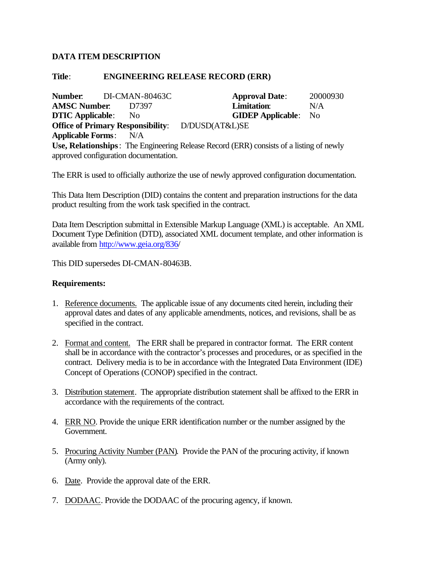## **DATA ITEM DESCRIPTION**

## **Title**: **ENGINEERING RELEASE RECORD (ERR)**

**Number**: DI-CMAN-80463C **Approval Date**: 20000930 **AMSC Number**: D7397 **Limitation**: N/A **DTIC Applicable**: No **GIDEP Applicable**: No **Office of Primary Responsibility**: D/DUSD(AT&L)SE **Applicable Forms**: N/A **Use, Relationships**: The Engineering Release Record (ERR) consists of a listing of newly approved configuration documentation.

The ERR is used to officially authorize the use of newly approved configuration documentation.

This Data Item Description (DID) contains the content and preparation instructions for the data product resulting from the work task specified in the contract.

Data Item Description submittal in Extensible Markup Language (XML) is acceptable. An XML Document Type Definition (DTD), associated XML document template, and other information is available from <http://www.geia.org/836/>

This DID supersedes DI-CMAN-80463B.

## **Requirements:**

- 1. Reference documents. The applicable issue of any documents cited herein, including their approval dates and dates of any applicable amendments, notices, and revisions, shall be as specified in the contract.
- 2. Format and content. The ERR shall be prepared in contractor format. The ERR content shall be in accordance with the contractor's processes and procedures, or as specified in the contract. Delivery media is to be in accordance with the Integrated Data Environment (IDE) Concept of Operations (CONOP) specified in the contract.
- 3. Distribution statement. The appropriate distribution statement shall be affixed to the ERR in accordance with the requirements of the contract.
- 4. ERR NO. Provide the unique ERR identification number or the number assigned by the Government.
- 5. Procuring Activity Number (PAN). Provide the PAN of the procuring activity, if known (Army only).
- 6. Date. Provide the approval date of the ERR.
- 7. DODAAC. Provide the DODAAC of the procuring agency, if known.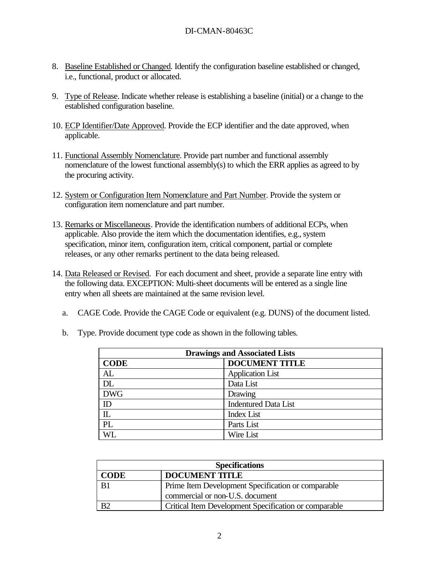- 8. Baseline Established or Changed. Identify the configuration baseline established or changed, i.e., functional, product or allocated.
- 9. Type of Release. Indicate whether release is establishing a baseline (initial) or a change to the established configuration baseline.
- 10. ECP Identifier/Date Approved. Provide the ECP identifier and the date approved, when applicable.
- 11. Functional Assembly Nomenclature. Provide part number and functional assembly nomenclature of the lowest functional assembly(s) to which the ERR applies as agreed to by the procuring activity.
- 12. System or Configuration Item Nomenclature and Part Number. Provide the system or configuration item nomenclature and part number.
- 13. Remarks or Miscellaneous. Provide the identification numbers of additional ECPs, when applicable. Also provide the item which the documentation identifies, e.g., system specification, minor item, configuration item, critical component, partial or complete releases, or any other remarks pertinent to the data being released.
- 14. Data Released or Revised. For each document and sheet, provide a separate line entry with the following data. EXCEPTION: Multi-sheet documents will be entered as a single line entry when all sheets are maintained at the same revision level.
	- a. CAGE Code. Provide the CAGE Code or equivalent (e.g. DUNS) of the document listed.

| <b>Drawings and Associated Lists</b> |                             |  |
|--------------------------------------|-----------------------------|--|
| <b>CODE</b>                          | <b>DOCUMENT TITLE</b>       |  |
| AL                                   | <b>Application List</b>     |  |
| <b>DL</b>                            | Data List                   |  |
| <b>DWG</b>                           | Drawing                     |  |
| ID                                   | <b>Indentured Data List</b> |  |
| $\mathbb{L}$                         | <b>Index List</b>           |  |
| PL                                   | Parts List                  |  |
| WL.                                  | Wire List                   |  |

b. Type. Provide document type code as shown in the following tables.

| <b>Specifications</b> |                                                       |  |
|-----------------------|-------------------------------------------------------|--|
| CODE                  | <b>DOCUMENT TITLE</b>                                 |  |
| B1                    | Prime Item Development Specification or comparable    |  |
|                       | commercial or non-U.S. document                       |  |
|                       | Critical Item Development Specification or comparable |  |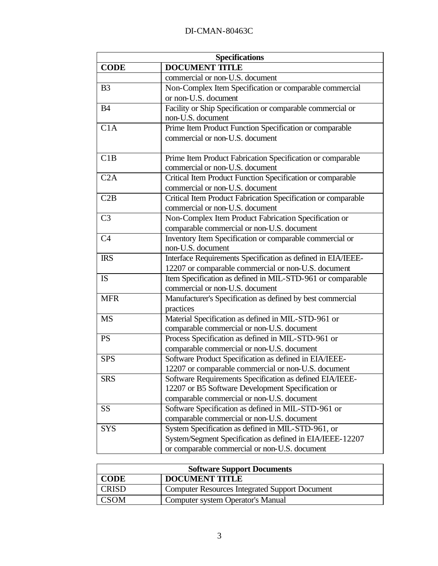| <b>Specifications</b> |                                                               |  |
|-----------------------|---------------------------------------------------------------|--|
| <b>CODE</b>           | <b>DOCUMENT TITLE</b>                                         |  |
|                       | commercial or non-U.S. document                               |  |
| B <sub>3</sub>        | Non-Complex Item Specification or comparable commercial       |  |
|                       | or non-U.S. document                                          |  |
| <b>B4</b>             | Facility or Ship Specification or comparable commercial or    |  |
|                       | non-U.S. document                                             |  |
| C1A                   | Prime Item Product Function Specification or comparable       |  |
|                       | commercial or non-U.S. document                               |  |
|                       |                                                               |  |
| C1B                   | Prime Item Product Fabrication Specification or comparable    |  |
|                       | commercial or non-U.S. document                               |  |
| C2A                   | Critical Item Product Function Specification or comparable    |  |
|                       | commercial or non-U.S. document                               |  |
| C2B                   | Critical Item Product Fabrication Specification or comparable |  |
|                       | commercial or non-U.S. document                               |  |
| C <sub>3</sub>        | Non-Complex Item Product Fabrication Specification or         |  |
|                       | comparable commercial or non-U.S. document                    |  |
| C <sub>4</sub>        | Inventory Item Specification or comparable commercial or      |  |
|                       | non-U.S. document                                             |  |
| <b>IRS</b>            | Interface Requirements Specification as defined in EIA/IEEE-  |  |
|                       | 12207 or comparable commercial or non-U.S. document           |  |
| <b>IS</b>             | Item Specification as defined in MIL-STD-961 or comparable    |  |
|                       | commercial or non-U.S. document                               |  |
| <b>MFR</b>            | Manufacturer's Specification as defined by best commercial    |  |
|                       | practices                                                     |  |
| <b>MS</b>             | Material Specification as defined in MIL-STD-961 or           |  |
|                       | comparable commercial or non-U.S. document                    |  |
| <b>PS</b>             | Process Specification as defined in MIL-STD-961 or            |  |
|                       | comparable commercial or non-U.S. document                    |  |
| <b>SPS</b>            | Software Product Specification as defined in EIA/IEEE-        |  |
|                       | 12207 or comparable commercial or non-U.S. document           |  |
| <b>SRS</b>            | Software Requirements Specification as defined EIA/IEEE-      |  |
|                       | 12207 or B5 Software Development Specification or             |  |
|                       | comparable commercial or non-U.S. document                    |  |
| SS                    | Software Specification as defined in MIL-STD-961 or           |  |
|                       | comparable commercial or non-U.S. document                    |  |
| <b>SYS</b>            | System Specification as defined in MIL-STD-961, or            |  |
|                       | System/Segment Specification as defined in EIA/IEEE-12207     |  |
|                       | or comparable commercial or non-U.S. document                 |  |

| <b>Software Support Documents</b> |                                                       |  |
|-----------------------------------|-------------------------------------------------------|--|
| <b>CODE</b>                       | <b>DOCUMENT TITLE</b>                                 |  |
| <b>CRISD</b>                      | <b>Computer Resources Integrated Support Document</b> |  |
| <b>CSOM</b>                       | Computer system Operator's Manual                     |  |